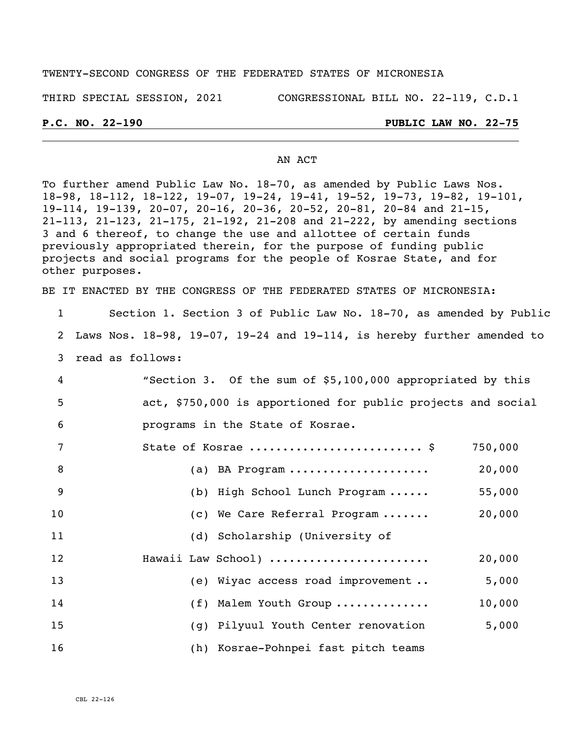#### TWENTY-SECOND CONGRESS OF THE FEDERATED STATES OF MICRONESIA

THIRD SPECIAL SESSION, 2021 CONGRESSIONAL BILL NO. 22-119, C.D.1

#### **P.C. NO. 22-190 PUBLIC LAW NO. 22-75**

#### AN ACT

To further amend Public Law No. 18-70, as amended by Public Laws Nos. 18-98, 18-112, 18-122, 19-07, 19-24, 19-41, 19-52, 19-73, 19-82, 19-101, 19-114, 19-139, 20-07, 20-16, 20-36, 20-52, 20-81, 20-84 and 21-15, 21-113, 21-123, 21-175, 21-192, 21-208 and 21-222, by amending sections 3 and 6 thereof, to change the use and allottee of certain funds previously appropriated therein, for the purpose of funding public projects and social programs for the people of Kosrae State, and for other purposes.

BE IT ENACTED BY THE CONGRESS OF THE FEDERATED STATES OF MICRONESIA:

| $\mathbf{1}$   | Section 1. Section 3 of Public Law No. 18-70, as amended by Public                |
|----------------|-----------------------------------------------------------------------------------|
| 2              | Laws Nos. $18-98$ , $19-07$ , $19-24$ and $19-114$ , is hereby further amended to |
| 3              | read as follows:                                                                  |
| 4              | "Section 3. Of the sum of \$5,100,000 appropriated by this                        |
| 5              | act, \$750,000 is apportioned for public projects and social                      |
| 6              | programs in the State of Kosrae.                                                  |
| $\overline{7}$ | State of Kosrae  \$<br>750,000                                                    |
| 8              | 20,000<br>(a) BA Program                                                          |
| 9              | (b) High School Lunch Program<br>55,000                                           |
| 10             | 20,000<br>(c) We Care Referral Program                                            |
| 11             | (d) Scholarship (University of                                                    |
| 12             | 20,000<br>Hawaii Law School)                                                      |
| 13             | (e) Wiyac access road improvement<br>5,000                                        |
| 14             | 10,000<br>(f) Malem Youth Group                                                   |
| 15             | (g) Pilyuul Youth Center renovation<br>5,000                                      |
| 16             | (h) Kosrae-Pohnpei fast pitch teams                                               |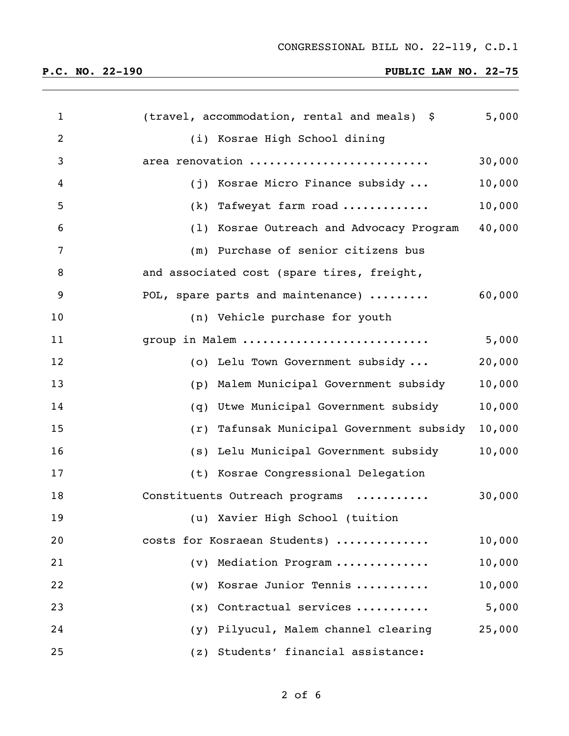| $\mathbf{1}$   | (travel, accommodation, rental and meals) \$ | 5,000  |
|----------------|----------------------------------------------|--------|
| $\overline{2}$ | (i) Kosrae High School dining                |        |
| 3              | area renovation                              | 30,000 |
| 4              | (j) Kosrae Micro Finance subsidy             | 10,000 |
| 5              | (k) Tafweyat farm road                       | 10,000 |
| 6              | (1) Kosrae Outreach and Advocacy Program     | 40,000 |
| 7              | (m) Purchase of senior citizens bus          |        |
| 8              | and associated cost (spare tires, freight,   |        |
| 9              | POL, spare parts and maintenance)            | 60,000 |
| 10             | (n) Vehicle purchase for youth               |        |
| 11             | group in Malem                               | 5,000  |
| 12             | (o) Lelu Town Government subsidy             | 20,000 |
| 13             | (p) Malem Municipal Government subsidy       | 10,000 |
| 14             | (q) Utwe Municipal Government subsidy        | 10,000 |
| 15             | (r) Tafunsak Municipal Government subsidy    | 10,000 |
| 16             | (s) Lelu Municipal Government subsidy        | 10,000 |
| 17             | (t) Kosrae Congressional Delegation          |        |
| 18             | Constituents Outreach programs               | 30,000 |
| 19             | (u) Xavier High School (tuition              |        |
| 20             | costs for Kosraean Students)                 | 10,000 |
| 21             | Mediation Program<br>(v)                     | 10,000 |
| 22             | Kosrae Junior Tennis<br>(w)                  | 10,000 |
| 23             | Contractual services<br>(x)                  | 5,000  |
| 24             | Pilyucul, Malem channel clearing<br>(y)      | 25,000 |
| 25             | Students' financial assistance:<br>(z)       |        |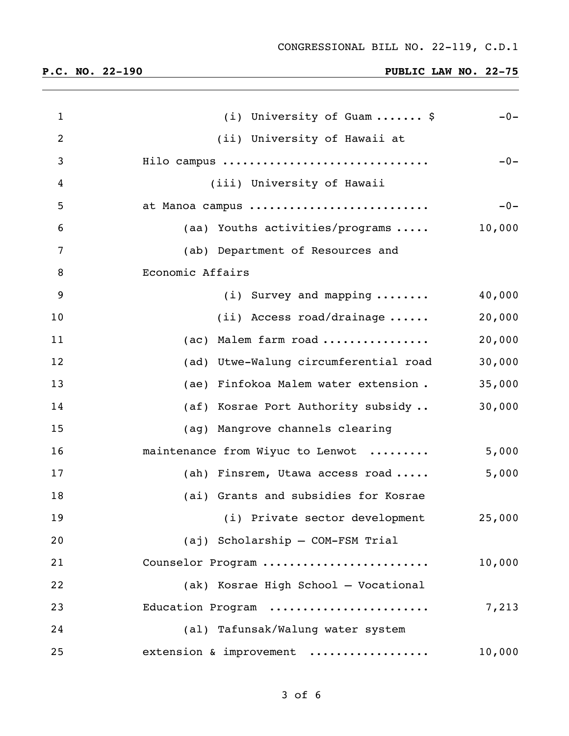| $\mathbf{1}$ | (i) University of Guam  \$            | $-0-$  |
|--------------|---------------------------------------|--------|
| 2            | (ii) University of Hawaii at          |        |
| 3            | Hilo campus                           | $-0-$  |
| 4            | (iii) University of Hawaii            |        |
| 5            | at Manoa campus                       | $-0-$  |
| 6            | (aa) Youths activities/programs       | 10,000 |
| 7            | (ab) Department of Resources and      |        |
| 8            | Economic Affairs                      |        |
| 9            | $(i)$ Survey and mapping              | 40,000 |
| 10           | $(i)$ Access road/drainage            | 20,000 |
| 11           | Malem farm road<br>(ac)               | 20,000 |
| 12           | (ad) Utwe-Walung circumferential road | 30,000 |
| 13           | (ae) Finfokoa Malem water extension.  | 35,000 |
| 14           | (af) Kosrae Port Authority subsidy    | 30,000 |
| 15           | (ag) Mangrove channels clearing       |        |
| 16           | maintenance from Wiyuc to Lenwot      | 5,000  |
| 17           | (ah) Finsrem, Utawa access road       | 5,000  |
| 18           | (ai) Grants and subsidies for Kosrae  |        |
| 19           | (i) Private sector development        | 25,000 |
| 20           | (aj) Scholarship - COM-FSM Trial      |        |
| 21           | Counselor Program                     | 10,000 |
| 22           | (ak) Kosrae High School - Vocational  |        |
| 23           | Education Program                     | 7,213  |
| 24           | (al) Tafunsak/Walung water system     |        |
| 25           | extension & improvement               | 10,000 |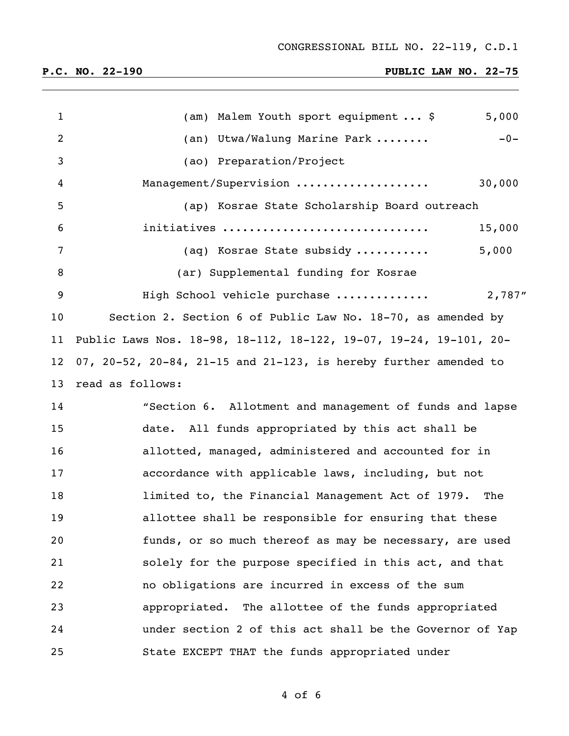| $\mathbf{1}$      | 5,000<br>(am) Malem Youth sport equipment  \$                     |
|-------------------|-------------------------------------------------------------------|
| 2                 | (an) Utwa/Walung Marine Park<br>$-0-$                             |
| 3                 | (ao) Preparation/Project                                          |
| 4                 | Management/Supervision<br>30,000                                  |
| 5                 | (ap) Kosrae State Scholarship Board outreach                      |
| 6                 | initiatives<br>15,000                                             |
| 7                 | 5,000<br>(aq) Kosrae State subsidy                                |
| 8                 | (ar) Supplemental funding for Kosrae                              |
| 9                 | 2,787"<br>High School vehicle purchase                            |
| 10                | Section 2. Section 6 of Public Law No. 18-70, as amended by       |
| 11                | Public Laws Nos. 18-98, 18-112, 18-122, 19-07, 19-24, 19-101, 20- |
| $12 \overline{ }$ | 07, 20-52, 20-84, 21-15 and 21-123, is hereby further amended to  |
| 13                | read as follows:                                                  |
| 14                | "Section 6. Allotment and management of funds and lapse           |
| 15                | date. All funds appropriated by this act shall be                 |
| 16                | allotted, managed, administered and accounted for in              |
| 17                | accordance with applicable laws, including, but not               |
| 18                | limited to, the Financial Management Act of 1979. The             |
| 19                | allottee shall be responsible for ensuring that these             |
| 20                | funds, or so much thereof as may be necessary, are used           |
| 21                | solely for the purpose specified in this act, and that            |
| 22                | no obligations are incurred in excess of the sum                  |
| 23                | appropriated. The allottee of the funds appropriated              |
| 24                | under section 2 of this act shall be the Governor of Yap          |
| 25                | State EXCEPT THAT the funds appropriated under                    |

of 6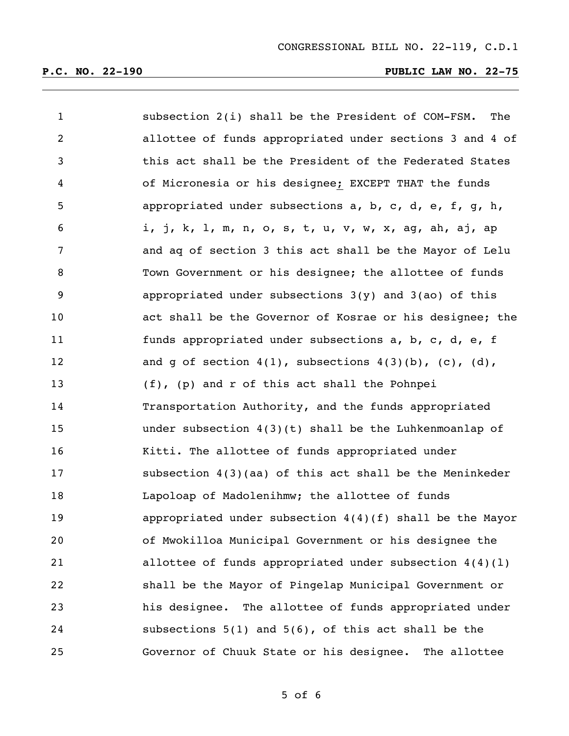| $\mathbf{1}$   | subsection 2(i) shall be the President of COM-FSM.<br>The   |
|----------------|-------------------------------------------------------------|
| $\overline{2}$ | allottee of funds appropriated under sections 3 and 4 of    |
| 3              | this act shall be the President of the Federated States     |
| 4              | of Micronesia or his designee; EXCEPT THAT the funds        |
| 5              | appropriated under subsections a, b, c, d, e, f, g, h,      |
| 6              | i, j, k, l, m, n, o, s, t, u, v, w, x, ag, ah, aj, ap       |
| 7              | and ag of section 3 this act shall be the Mayor of Lelu     |
| 8              | Town Government or his designee; the allottee of funds      |
| 9              | appropriated under subsections $3(y)$ and $3(ao)$ of this   |
| 10             | act shall be the Governor of Kosrae or his designee; the    |
| 11             | funds appropriated under subsections a, b, c, d, e, f       |
| 12             | and g of section $4(1)$ , subsections $4(3)(b)$ , (c), (d), |
| 13             | (f), (p) and r of this act shall the Pohnpei                |
| 14             | Transportation Authority, and the funds appropriated        |
| 15             | under subsection $4(3)(t)$ shall be the Luhkenmoanlap of    |
| 16             | Kitti. The allottee of funds appropriated under             |
| 17             | subsection $4(3)(aa)$ of this act shall be the Meninkeder   |
| 18             | Lapoloap of Madolenihmw; the allottee of funds              |
| 19             | appropriated under subsection $4(4)(f)$ shall be the Mayor  |
| 20             | of Mwokilloa Municipal Government or his designee the       |
| 21             | allottee of funds appropriated under subsection $4(4)(1)$   |
| 22             | shall be the Mayor of Pingelap Municipal Government or      |
| 23             | his designee. The allottee of funds appropriated under      |
| 24             | subsections $5(1)$ and $5(6)$ , of this act shall be the    |
| 25             | Governor of Chuuk State or his designee. The allottee       |

of 6